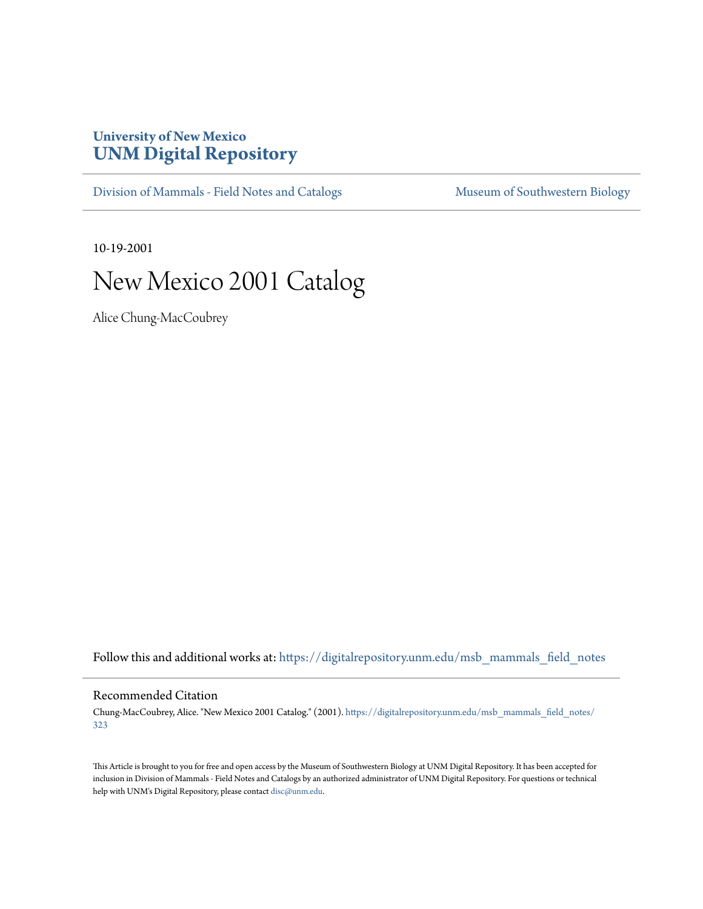## **University of New Mexico [UNM Digital Repository](https://digitalrepository.unm.edu?utm_source=digitalrepository.unm.edu%2Fmsb_mammals_field_notes%2F323&utm_medium=PDF&utm_campaign=PDFCoverPages)**

[Division of Mammals - Field Notes and Catalogs](https://digitalrepository.unm.edu/msb_mammals_field_notes?utm_source=digitalrepository.unm.edu%2Fmsb_mammals_field_notes%2F323&utm_medium=PDF&utm_campaign=PDFCoverPages) [Museum of Southwestern Biology](https://digitalrepository.unm.edu/msb?utm_source=digitalrepository.unm.edu%2Fmsb_mammals_field_notes%2F323&utm_medium=PDF&utm_campaign=PDFCoverPages)

10-19-2001

## New Mexico 2001 Catalog

Alice Chung-MacCoubrey

Follow this and additional works at: [https://digitalrepository.unm.edu/msb\\_mammals\\_field\\_notes](https://digitalrepository.unm.edu/msb_mammals_field_notes?utm_source=digitalrepository.unm.edu%2Fmsb_mammals_field_notes%2F323&utm_medium=PDF&utm_campaign=PDFCoverPages)

## Recommended Citation

Chung-MacCoubrey, Alice. "New Mexico 2001 Catalog." (2001). [https://digitalrepository.unm.edu/msb\\_mammals\\_field\\_notes/](https://digitalrepository.unm.edu/msb_mammals_field_notes/323?utm_source=digitalrepository.unm.edu%2Fmsb_mammals_field_notes%2F323&utm_medium=PDF&utm_campaign=PDFCoverPages) [323](https://digitalrepository.unm.edu/msb_mammals_field_notes/323?utm_source=digitalrepository.unm.edu%2Fmsb_mammals_field_notes%2F323&utm_medium=PDF&utm_campaign=PDFCoverPages)

This Article is brought to you for free and open access by the Museum of Southwestern Biology at UNM Digital Repository. It has been accepted for inclusion in Division of Mammals - Field Notes and Catalogs by an authorized administrator of UNM Digital Repository. For questions or technical help with UNM's Digital Repository, please contact [disc@unm.edu](mailto:disc@unm.edu).